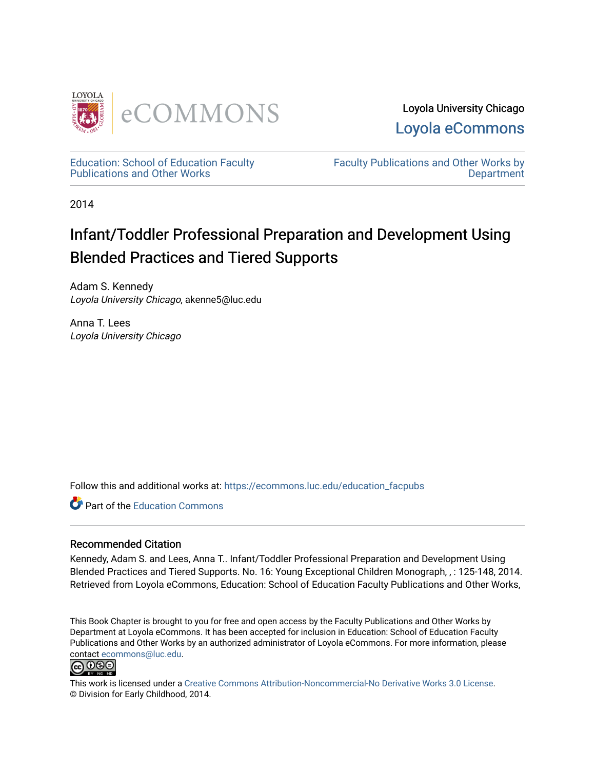

Loyola University Chicago [Loyola eCommons](https://ecommons.luc.edu/) 

[Education: School of Education Faculty](https://ecommons.luc.edu/education_facpubs)  [Publications and Other Works](https://ecommons.luc.edu/education_facpubs) 

[Faculty Publications and Other Works by](https://ecommons.luc.edu/faculty)  **Department** 

2014

## Infant/Toddler Professional Preparation and Development Using Blended Practices and Tiered Supports

Adam S. Kennedy Loyola University Chicago, akenne5@luc.edu

Anna T. Lees Loyola University Chicago

Follow this and additional works at: [https://ecommons.luc.edu/education\\_facpubs](https://ecommons.luc.edu/education_facpubs?utm_source=ecommons.luc.edu%2Feducation_facpubs%2F66&utm_medium=PDF&utm_campaign=PDFCoverPages) 

**C** Part of the [Education Commons](http://network.bepress.com/hgg/discipline/784?utm_source=ecommons.luc.edu%2Feducation_facpubs%2F66&utm_medium=PDF&utm_campaign=PDFCoverPages)

#### Recommended Citation

Kennedy, Adam S. and Lees, Anna T.. Infant/Toddler Professional Preparation and Development Using Blended Practices and Tiered Supports. No. 16: Young Exceptional Children Monograph, , : 125-148, 2014. Retrieved from Loyola eCommons, Education: School of Education Faculty Publications and Other Works,

This Book Chapter is brought to you for free and open access by the Faculty Publications and Other Works by Department at Loyola eCommons. It has been accepted for inclusion in Education: School of Education Faculty Publications and Other Works by an authorized administrator of Loyola eCommons. For more information, please contact [ecommons@luc.edu.](mailto:ecommons@luc.edu)



This work is licensed under a [Creative Commons Attribution-Noncommercial-No Derivative Works 3.0 License.](https://creativecommons.org/licenses/by-nc-nd/3.0/) © Division for Early Childhood, 2014.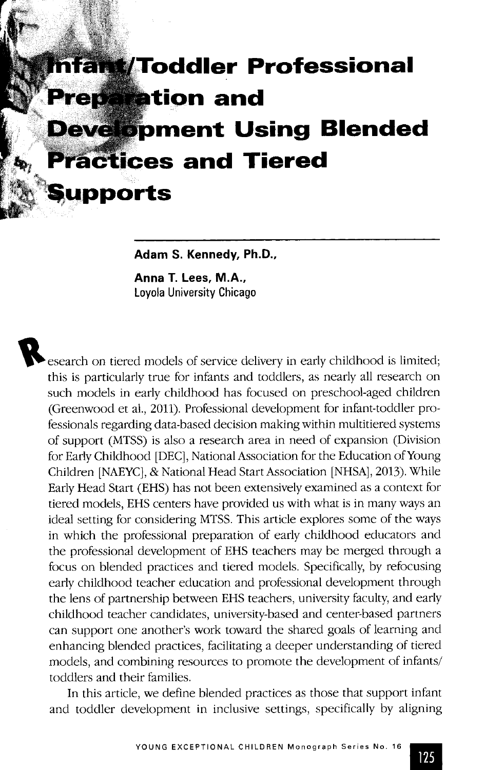# **Toddler Professional Preparation and ment Using Blended ractices and Tiered Supports**

**Adam S. Kennedy, Ph.D.,**

**Anna T. Lees, M.A.,** Loyola University Chicago

**O**

esearch on tiered models of service delivery in early childhood is limited; this is particularly true for infants and toddlers, as nearly all research on such models in early childhood has focused on preschool-aged children (Greenwood et al., 2011). Professional development for infant-toddler professionals regarding data-based decision making within multitiered systems of support (MTSS) is also a research area in need of expansion (Division for Early Childhood [DEC], National Association for the Education of Young Children [NAEYC], & National Head Start Association [NHSA], 2013). While Early Head Start (EHS) has not been extensively examined as a context for tiered models, EHS centers have provided us with what is in many ways an ideal setting for considering MTSS. This article explores some of the ways in which the professional preparation of early childhood educators and the professional development of EHS teachers may be merged through a focus on blended practices and tiered models. Specifically, by refocusing early childhood teacher education and professional development through the lens of partnership between EHS teachers, university faculty, and early childhood teacher candidates, university-based and center-based partners can support one another's work toward the shared goals of learning and enhancing blended practices, facilitating a deeper understanding of tiered models, and combining resources to promote the development of infants/ toddlers and their families.

In this article, we define blended practices as those that support infant and toddler development in inclusive settings, specifically by aligning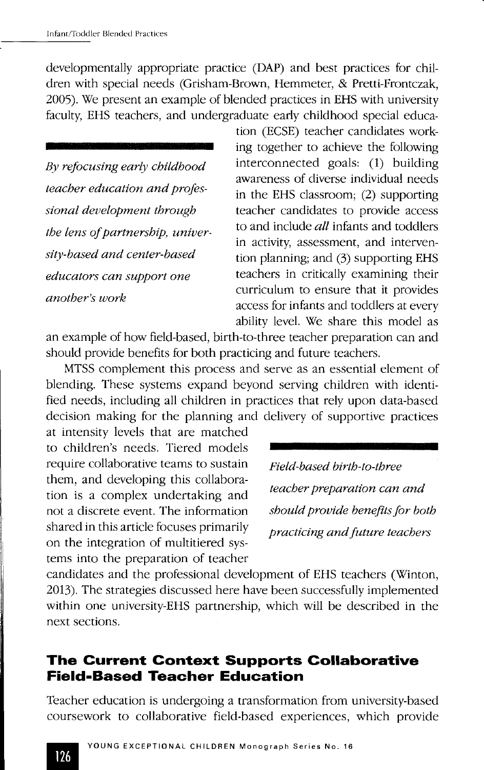developmentally appropriate practice (DAP) and best practices for children with special needs (Grisham-Brown, Hemmeter, & Pretti-Frontczak, 2005). We present an example of blended practices in EHS with university faculty, EHS teachers, and undergraduate early childhood special educa-

*By refocusing early childhood teacher education and professional development through the lens of partnership, university-based and center-based educators can support one another's work*

tion (ECSE) teacher candidates work ing together to achieve the following interconnected goals: (1) building awareness of diverse individual needs in the EHS classroom; (2) supporting teacher candidates to provide access to and include *all* infants and toddlers in activity, assessment, and intervention planning; and (3) supporting EHS teachers in critically examining their curriculum to ensure that it provides access for infants and toddlers at every ability level. We share this model as

an example of how field-based, birth-to-three teacher preparation can and should provide benefits for both practicing and future teachers.

MTSS complement this process and serve as an essential element of blending. These systems expand beyond serving children with identified needs, including all children in practices that rely upon data-based decision making for the planning and delivery of supportive practices

at intensity levels that are matched to children's needs. Tiered models require collaborative teams to sustain them, and developing this collaboration is a complex undertaking and not a discrete event. The information shared in this article focuses primarily on the integration of multitiered systems into the preparation of teacher

*Field-based birth-to-three teacher preparation can and should provide benefits for both practicing and future teachers*

candidates and the professional development of EHS teachers (Winton, 2013). The strategies discussed here have been successfully implemented within one university-EHS partnership, which will be described in the next sections.

## The Current Context Supports Collaborative Field-Based Teacher Education

Teacher education is undergoing a transformation from university-based coursework to collaborative field-based experiences, which provide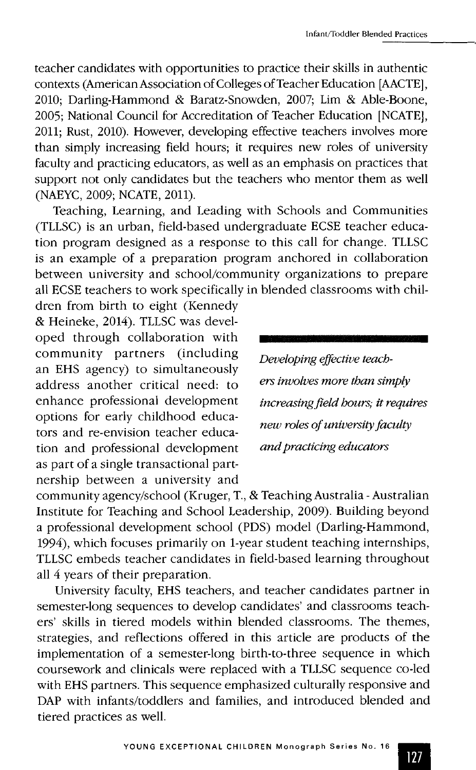teacher candidates with opportunities to practice their skills in authentic contexts (American Association of Colleges of Teacher Education [AACTE], 2010; Darling-Hammond & Baratz-Snowden, 2007; Lim & Able-Boone, 2005; National Council for Accreditation of Teacher Education [NCATE], 2011; Rust, 2010). However, developing effective teachers involves more than simply increasing field hours; it requires new roles of university faculty and practicing educators, as well as an emphasis on practices that support not only candidates but the teachers who mentor them as well (NAEYC, 2009; NCATE, 2011).

Teaching, Learning, and Leading with Schools and Communities (TLLSC) is an urban, field-based undergraduate ECSE teacher education program designed as a response to this call for change. TLLSC is an example of a preparation program anchored in collaboration between university and school/community organizations to prepare all ECSE teachers to work specifically in blended classrooms with chil-

dren from birth to eight (Kennedy & Heineke, 2014). TLLSC was developed through collaboration with community partners (including *Devdoping effective teach.* an EHS agency) to simultaneously address another critical need: to *ers involves more than simply* enhance professional development *increasing field hours; it requires* options for early childhood educa-<br> *new roles of university faculty* tors and re-envision teacher education and professional development *and practicing educators* as part of a single transactional partnership between a university and

community agency/school (Kruger, T., & Teaching Australia - Australian Institute for Teaching and School Leadership, 2009). Building beyond a professional development school (PDS) model (Darling-Hammond, 1994), which focuses primarily on 1-year student teaching internships, TLLSC embeds teacher candidates in field-based learning throughout all 4 years of their preparation.

University faculty, EHS teachers, and teacher candidates partner in semester-long sequences to develop candidates' and classrooms teachers' skills in tiered models within blended classrooms. The themes, strategies, and reflections offered in this article are products of the implementation of a semester-long birth-to-three sequence in which coursework and clinicals were replaced with a TLLSC sequence co-led with EHS partners. This sequence emphasized culturally responsive and DAP with infants/toddlers and families, and introduced blended and tiered practices as well.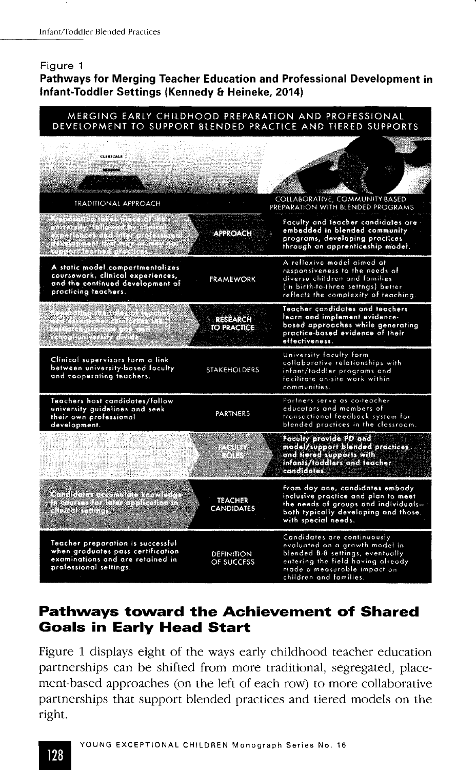#### **Figure 1**

#### **Pathways for Merging Teacher Education and Professional Development in Infant-Toddler Settings (Kennedy & Heineke, 2014)**

|                                                                                                                                                                                                                                      |                                       | MERGING EARLY CHILDHOOD PREPARATION AND PROFESSIONAL<br>DEVELOPMENT TO SUPPORT BLENDED PRACTICE AND TIERED SUPPORTS                                                                             |
|--------------------------------------------------------------------------------------------------------------------------------------------------------------------------------------------------------------------------------------|---------------------------------------|-------------------------------------------------------------------------------------------------------------------------------------------------------------------------------------------------|
| CLINICALS<br>1072006<br>DOSSALTSVIKTIN PRESIDENT AVERILLIGING<br><b>TRADITIONAL APPROACH</b>                                                                                                                                         |                                       | COLLABORATIVE, COMMUNITY-BASED<br>PREPARATION WITH BLENDED PROGRAMS                                                                                                                             |
| resportants to the adjoint of the set of the set of the set of the set of the set of the set of the set of the<br>experience is end if once professional<br>distribution of the set of the set of the set of the set of the set of t | <b>APPROACH</b>                       | Faculty and teacher candidates are<br>embedded in blended community<br>programs, developing practices<br>through an apprenticeship model.                                                       |
| A static model compartmentalizes<br>coursework, clinical experiences,<br>and the continued development of<br>practicing teachers.                                                                                                    | <b>FRAMEWORK</b>                      | A reflexive model aimed at<br>responsiveness to the needs of<br>diverse children and families<br>(in birth-to-three settngs) better<br>reflects the complexity of teaching.                     |
|                                                                                                                                                                                                                                      | <b>RESEARCH</b><br><b>TO PRACTICE</b> | Teacher candidates and teachers<br>learn and implement evidence-<br>bosed approaches while generating<br>practice-based evidence of their<br>effectiveness.                                     |
| Clinical supervisors form a link<br>between university-based faculty<br>and cooperating teachers.                                                                                                                                    | <b>STAKEHOLDERS</b>                   | University faculty form<br>collaborative relationships with<br>infant/toddler programs and<br>facilitate on site work within<br>communities.                                                    |
| Teachers host candidates/follow<br>university guidelines and seek<br>their own professional<br>development.                                                                                                                          | PARTNERS                              | Partners serve as co-teacher<br>educators and members of<br>transactional feedback system for<br>blended practices in the classroom.                                                            |
|                                                                                                                                                                                                                                      | ASUM                                  | Faculty provide PD and<br>model/support blended practices<br>and tiered supports with<br>infants/toddlers and teacher<br>candidates.                                                            |
| Candidates accumulate knowledge<br>In courses for later application in<br>clinical settings.                                                                                                                                         | <b>TEACHER</b><br><b>CANDIDATES</b>   | From day one, candidates embody<br>inclusive practice and plan to meet<br>the needs of groups and individuals-<br>both typically developing and those<br>with special needs.                    |
| Teacher preparation is successful<br>when graduates pass certification.<br>examinations and are retained in<br>professional settings.                                                                                                | <b>DEFINITION</b><br>OF SUCCESS       | Candidates are continuously<br>evaluated on a growth model in<br>blended B-8 settings, eventually<br>entering the field having already<br>made a measurable impact on<br>children and families. |

## Pathways toward the Achievement of Shared Goals in Early Head Start

Figure 1 displays eight of the ways early childhood teacher education partnerships can be shifted from more traditional, segregated, placement-based approaches (on the left of each row) to more collaborative partnerships that support blended practices and tiered models on the right.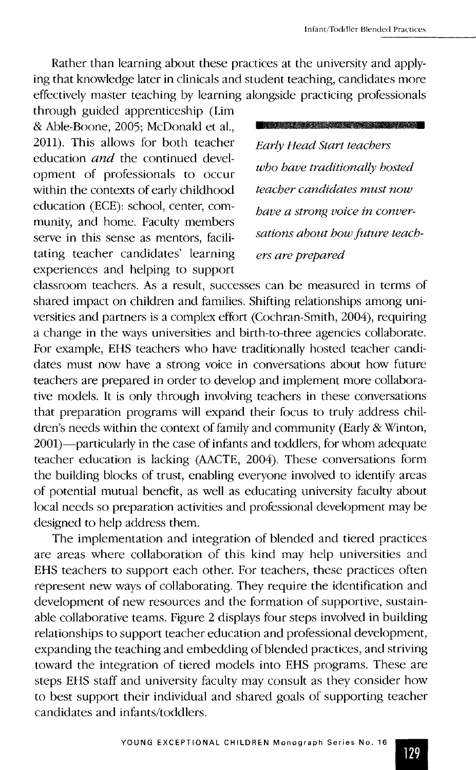Rather than learning about these practices at the university and applying that knowledge later in clinicals and student teaching, candidates more effectively master teaching by learning alongside practicing professionals

through guided apprenticeship (Lim & Able-Boone, 2005; McDonald et al., 2011). This allows for both teacher education *and* the continued development of professionals to occur within the contexts of early childhood education (ECE): school, center, community, and home. Faculty members serve in this sense as mentors, facilitating teacher candidates' learning experiences and helping to support



classroom teachers. As a result, successes can be measured in terms of shared impact on children and families. Shifting relationships among universities and partners is a complex effort (Cochran-Smith, 2004), requiring a change in the ways universities and birth-to-three agencies collaborate. For example, EHS teachers who have traditionally hosted teacher candidates must now have a strong voice in conversations about how future teachers are prepared in order to develop and implement more collaborative models. It is only through involving teachers in these conversations that preparation programs will expand their focus to truly address children's needs within the context of family and community (Early *&* Winton, 2001)— particularly in the case of infants and toddlers, for whom adequate teacher education is lacking (AACTE, 2004). These conversations form the building blocks of trust, enabling everyone involved to identify areas of potential mutual benefit, as well as educating university faculty about local needs so preparation activities and professional development may be designed to help address them.

The implementation and integration of blended and tiered practices are areas where collaboration of this kind may help universities and EHS teachers to support each other. For teachers, these practices often represent new ways of collaborating. They require the identification and development of new resources and the formation of supportive, sustainable collaborative teams. Figure 2 displays four steps involved in building relationships to support teacher education and professional development, expanding the teaching and embedding of blended practices, and striving toward the integration of tiered models into EHS programs. These are steps EHS staff and university faculty may consult as they consider how to best support their individual and shared goals of supporting teacher candidates and infants/toddlers.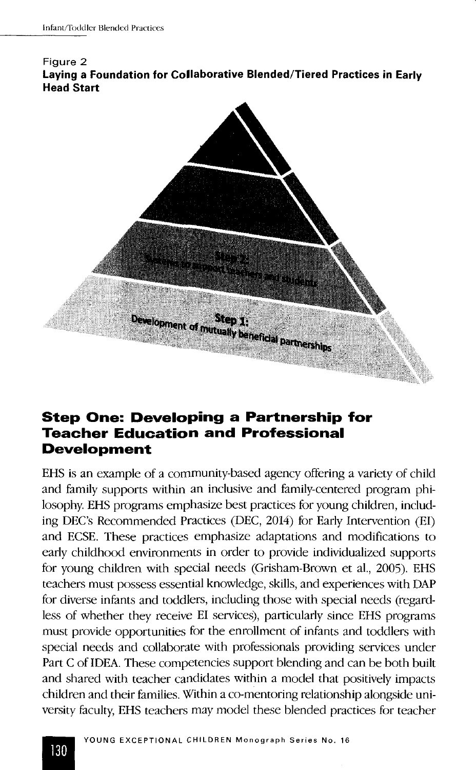

## **Figure 2 Laying a Foundation for Collaborative Blended/Tiered Practices in Early**

#### Step One: Developing a Partnership for Teacher Education and Professional Development

EHS is an example of a community-based agency offering a variety of child and family supports within an inclusive and family-centered program philosophy. EHS programs emphasize best practices for young children, including DEC's Recommended Practices (DEC, 2014) for Early Intervention (El) and ECSE. These practices emphasize adaptations and modifications to early childhood environments in order to provide individualized supports for young children with special needs (Grisham-Brown et al., 2005). EHS teachers must possess essential knowledge, skills, and experiences with DAP for diverse infants and toddlers, including those with special needs (regardless of whether they receive El services), particularly since EHS programs must provide opportunities for the enrollment of infants and toddlers with special needs and collaborate with professionals providing services under Part C of IDEA. These competencies support blending and can be both built and shared with teacher candidates within a model that positively impacts children and their families. Within a co-mentoring relationship alongside university faculty, EHS teachers may model these blended practices for teacher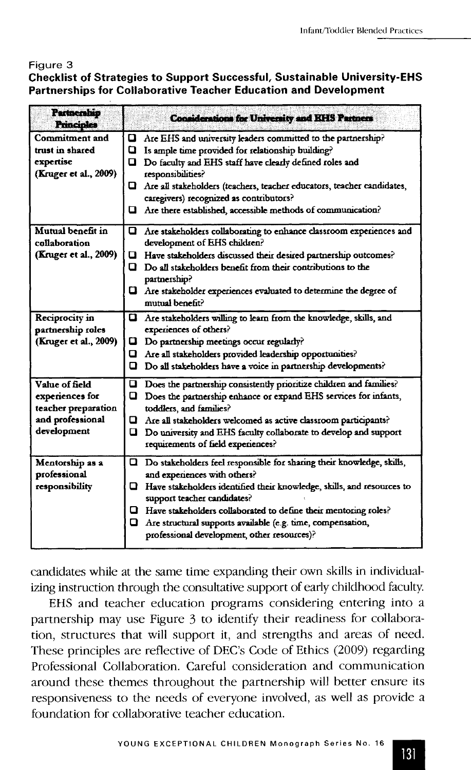#### **Figure 3 Checklist of Strategies to Support Successful, Sustainable University-EHS Partnerships for Collaborative Teacher Education and Development**

| Partnership<br><b>Principles</b> |    | <b>Considerations for University and KHS Partners</b>                         |
|----------------------------------|----|-------------------------------------------------------------------------------|
| <b>Commitment and</b>            |    | $\Box$ Are EHS and university leaders committed to the partnership?           |
| trust in shared                  | Q. | Is ample time provided for relationship building?                             |
| expertise                        |    | Do faculty and EHS staff have clearly defined roles and                       |
| (Kruger et al., 2009)            |    | responsibilities?                                                             |
|                                  |    | $\Box$ Are all stakeholders (teachers, teacher educators, teacher candidates, |
|                                  |    | caregivers) recognized as contributors?                                       |
|                                  |    | $\Box$ Are there established, accessible methods of communication?            |
| Mutual benefit in                | o. | Are stakeholders collaborating to enhance classroom experiences and           |
| collaboration                    |    | development of EHS children?                                                  |
| (Kruger et al., 2009)            | u. | Have stakeholders discussed their desired partnership outcomes?               |
|                                  | O. | Do all stakeholders benefit from their contributions to the                   |
|                                  |    | partnership?                                                                  |
|                                  |    | $\Box$ Are stakeholder experiences evaluated to determine the degree of       |
|                                  |    | mutual benefit?                                                               |
| Reciprocity in                   |    | Are stakeholders willing to learn from the knowledge, skills, and             |
| partnership roles                |    | experiences of others?                                                        |
| (Kruger et al., 2009)            |    | $\Box$ Do partnership meetings occur regularly?                               |
|                                  |    | $\Box$ Are all stakeholders provided leadership opportunities?                |
|                                  |    | $\Box$ Do all stakeholders have a voice in partnership developments?          |
| Value of field                   |    | $\Box$ Does the partnership consistently prioritize children and families?    |
| experiences for                  |    | Does the partnership enhance or expand EHS services for infants,              |
| teacher preparation              |    | toddlers, and families?                                                       |
| and professional                 | o. | Are all stakeholders welcomed as active classroom participants?               |
| development                      | u  | Do university and EHS faculty collaborate to develop and support              |
|                                  |    | requirements of field experiences?                                            |
| Mentorship as a                  | Q  | Do stakeholders feel responsible for sharing their knowledge, skills,         |
| professional                     |    | and experiences with others?                                                  |
| responsibility                   |    | $\Box$ Have stakeholders identified their knowledge, skills, and resources to |
|                                  |    | support teacher candidates?                                                   |
|                                  |    | $\Box$ Have stakeholders collaborated to define their mentoring roles?        |
|                                  |    | $\Box$ Are structural supports available (e.g. time, compensation,            |
|                                  |    | professional development, other resources)?                                   |
|                                  |    |                                                                               |

candidates while at the same time expanding their own skills in individualizing instruction through the consultative support of early childhood faculty.

EHS and teacher education programs considering entering into a partnership may use Figure 3 to identify their readiness for collaboration, structures that will support it, and strengths and areas of need. These principles are reflective of DEC's Code of Ethics (2009) regarding Professional Collaboration. Careful consideration and communication around these themes throughout the partnership will better ensure its responsiveness to the needs of everyone involved, as well as provide a foundation for collaborative teacher education.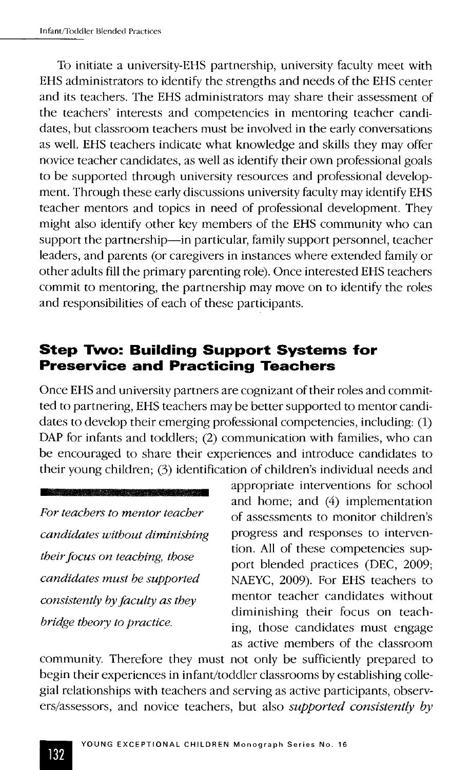To initiate a university-EHS partnership, university faculty meet with EHS administrators to identify the strengths and needs of the EHS center and its teachers. The EHS administrators may share their assessment of the teachers' interests and competencies in mentoring teacher candidates, but classroom teachers must be involved in the early conversations as well. EHS teachers indicate what knowledge and skills they may offer novice teacher candidates, as well as identify their own professional goals to be supported through university resources and professional development. Through these early discussions university faculty may identify EHS teacher mentors and topics in need of professional development. They might also identify other key members of the EHS community who can support the partnership—in particular, family support personnel, teacher leaders, and parents (or caregivers in instances where extended family or other adults fill the primary parenting role). Once interested EHS teachers commit to mentoring, the partnership may move on to identify the roles and responsibilities of each of these participants.

## Step Two: Building Support Systems for Preservice and Practicing Teachers

Once EHS and university partners are cognizant of their roles and committed to partnering, EHS teachers may be better supported to mentor candidates to develop their emerging professional competencies, including: (1) DAP for infants and toddlers; (2) communication with families, who can be encouraged to share their experiences and introduce candidates to their young children; (3) identification of children's individual needs and

*For teachers to mentor teacher candidates without diminishing their focus on teaching, those candidates must be supported consistently by faculty as they bridge theory to practice.*

**The Hollowski and The Hollowski** 

appropriate interventions for school and home; and (4) implementation of assessments to monitor children's progress and responses to intervention. All of these competencies support blended practices (DEC, 2009; NAEYC, 2009). For EHS teachers to mentor teacher candidates without diminishing their focus on teaching, those candidates must engage as active members of the classroom

community. Therefore they must not only be sufficiently prepared to begin their experiences in infant/toddler classrooms by establishing collegial relationships with teachers and serving as active participants, observers/assessors, and novice teachers, but also *supported consistently by*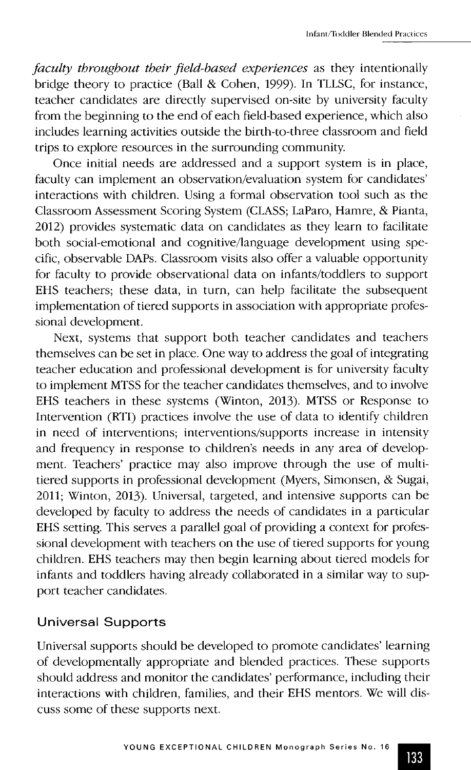*faculty throughout their field-based experiences* as they intentionally bridge theory to practice (Ball & Cohen, 1999). In TLLSC, for instance, teacher candidates are directly supervised on-site by university faculty from the beginning to the end of each field-based experience, which also includes learning activities outside the birth-to-three classroom and field trips to explore resources in the surrounding community.

Once initial needs are addressed and a support system is in place, faculty can implement an observation/evaluation system for candidates' interactions with children. Using a formal observation tool such as the Classroom Assessment Scoring System (CLASS; LaParo, Hamre, & Pianta, 2012) provides systematic data on candidates as they learn to facilitate both social-emotional and cognitive/language development using specific, observable DAPs. Classroom visits also offer a valuable opportunity for faculty to provide observational data on infants/toddlers to support EHS teachers; these data, in turn, can help facilitate the subsequent implementation of tiered supports in association with appropriate professional development.

Next, systems that support both teacher candidates and teachers themselves can be set in place. One way to address the goal of integrating teacher education and professional development is for university faculty to implement MTSS for the teacher candidates themselves, and to involve EHS teachers in these systems (Winton, 2013). MTSS or Response to Intervention (RTI) practices involve the use of data to identify children in need of interventions; interventions/supports increase in intensity and frequency in response to children's needs in any area of development. Teachers' practice may also improve through the use of multitiered supports in professional development (Myers, Simonsen, & Sugai, 2011; Winton, 2013). Universal, targeted, and intensive supports can be developed by faculty to address the needs of candidates in a particular EHS setting. This serves a parallel goal of providing a context for professional development with teachers on the use of tiered supports for young children. EHS teachers may then begin learning about tiered models for infants and toddlers having already collaborated in a similar way to support teacher candidates.

#### **Universal Supports**

Universal supports should be developed to promote candidates' learning of developmentally appropriate and blended practices. These supports should address and monitor the candidates' performance, including their interactions with children, families, and their EHS mentors. We will discuss some of these supports next.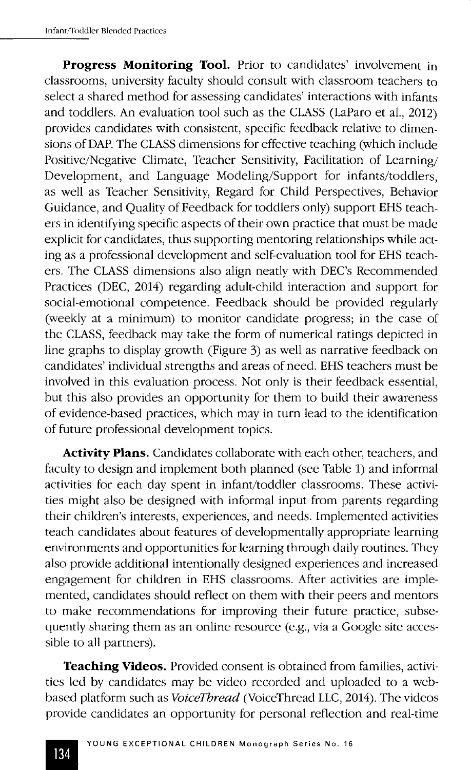**Progress Monitoring Tool.** Prior to candidates' involvement in classrooms, university faculty should consult with classroom teachers to select a shared method for assessing candidates' interactions with infants and toddlers. An evaluation tool such as the CLASS (LaParo et al., 2012) provides candidates with consistent, specific feedback relative to dimensions of DAP. The CLASS dimensions for effective teaching (which include Positive/Negative Climate, Teacher Sensitivity, Facilitation of Learning/ Development, and Language Modeling/Support for infants/toddlers, as well as Teacher Sensitivity, Regard for Child Perspectives, Behavior Guidance, and Quality of Feedback for toddlers only) support EHS teachers in identifying specific aspects of their own practice that must be made explicit for candidates, thus supporting mentoring relationships while acting as a professional development and self-evaluation tool for EHS teachers. The CLASS dimensions also align neatly with DEC'S Recommended Practices (DEC, 2014) regarding adult-child interaction and support for social-emotional competence. Feedback should be provided regularly (weekly at a minimum) to monitor candidate progress; in the case of the CLASS, feedback may take the form of numerical ratings depicted in line graphs to display growth (Figure 3) as well as narrative feedback on candidates' individual strengths and areas of need. EHS teachers must be involved in this evaluation process. Not only is their feedback essential, but this also provides an opportunity for them to build their awareness of evidence-based practices, which may in turn lead to the identification of future professional development topics.

**Activity Plans.** Candidates collaborate with each other, teachers, and faculty to design and implement both planned (see Table 1) and informal activities for each day spent in infant/toddler classrooms. These activities might also be designed with informal input from parents regarding their children's interests, experiences, and needs. Implemented activities teach candidates about features of developmentally appropriate learning environments and opportunities for learning through daily routines. They also provide additional intentionally designed experiences and increased engagement for children in EHS classrooms. After activities are implemented, candidates should reflect on them with their peers and mentors to make recommendations for improving their future practice, subsequently sharing them as an online resource (e.g., via a Google site accessible to all partners).

**Teaching Videos.** Provided consent is obtained from families, activities led by candidates may be video recorded and uploaded to a webbased platform such as *VoiceThread* (VoiceThread LLC, 2014). The videos provide candidates an opportunity for personal reflection and real-time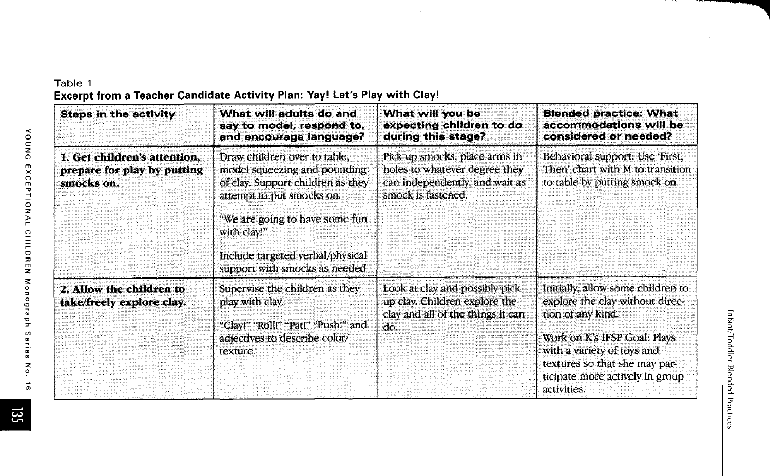#### **Excerpt from a Teacher Candidate Activity Plan: Yay! Let's Play with Clay! Table 1**

| <b>Steps in the activity</b>                                              | What will adults do and<br>say to model, respond to,<br>and encourage language?                                                      | What will you be<br>expecting children to do<br>during this stage?                                                     | <b>Blended practice: What</b><br>accommodations will be<br>considered or needed?                                                                                                                                                           |
|---------------------------------------------------------------------------|--------------------------------------------------------------------------------------------------------------------------------------|------------------------------------------------------------------------------------------------------------------------|--------------------------------------------------------------------------------------------------------------------------------------------------------------------------------------------------------------------------------------------|
| 1. Get children's attention,<br>prepare for play by putting<br>smocks on. | Draw children over to table,<br>model squeezing and pounding<br>of clay. Support children as they<br>attempt to put smocks on.       | Pick up smocks, place arms in<br>holes to whatever degree they<br>can independently, and wait as<br>smock is fastened. | Behavioral support: Use 'First,<br>Then' chart with M to transition<br>to table by putting smock on.                                                                                                                                       |
|                                                                           | "We are going to have some fun<br>with clav!"<br>Include targeted verbal/physical<br>support with smocks as needed                   |                                                                                                                        |                                                                                                                                                                                                                                            |
| 2. Allow the children to<br>take/freely explore clay.                     | Supervise the children as they<br>play with clay.<br>"Clay!" "Roll!" "Pat!" "Push!" and<br>adjectives to describe color/<br>texture. | Look at clay and possibly pick<br>up clay. Children explore the<br>clay and all of the things it can<br>do.            | Initially, allow some children to<br>explore the clay without direc-<br>tion of any kind.<br>Work on K's IFSP Goal: Plays<br>with a variety of toys and<br>textures so that she may par-<br>ticipate more actively in group<br>activities. |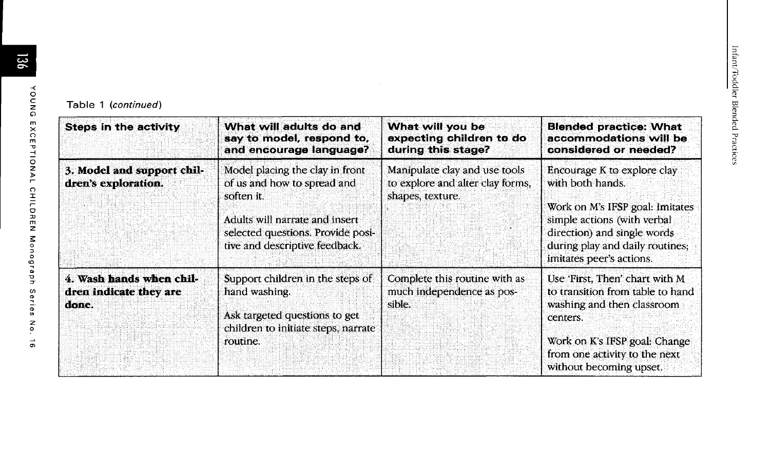#### **Table 1** *(continued)*

| <b>Steps in the activity</b>                                | What will adults do and<br>say to model, respond to,<br>and encourage language?                                                                                                       | What will you be<br>expecting children to do<br>during this stage?                    | <b>Blended practice: What</b><br>accommodations will be<br>considered or needed?                                                                                                                                |
|-------------------------------------------------------------|---------------------------------------------------------------------------------------------------------------------------------------------------------------------------------------|---------------------------------------------------------------------------------------|-----------------------------------------------------------------------------------------------------------------------------------------------------------------------------------------------------------------|
| 3. Model and support chil-<br>dren's exploration.           | Model placing the clay in front<br>of us and how to spread and<br>soften it.<br>Adults will narrate and insert<br>selected questions. Provide posi-<br>tive and descriptive feedback. | Manipulate clay and use tools<br>to explore and alter clay forms.<br>shapes, texture. | Encourage K to explore clay<br>with both hands.<br>Work on M's IFSP goal: Imitates<br>simple actions (with verbal<br>direction) and single words<br>during play and daily routines;<br>imitates peer's actions. |
| 4. Wash hands when chil-<br>dren indicate they are<br>done. | Support children in the steps of<br>hand washing.<br>Ask targeted questions to get<br>children to initiate steps, narrate<br>routine.                                                 | Complete this routine with as<br>much independence as pos-<br>sible.                  | Use 'First, Then' chart with M<br>to transition from table to hand<br>washing and then classroom<br>centers.<br>Work on K's IFSP goal: Change<br>from one activity to the next<br>without becoming upset.       |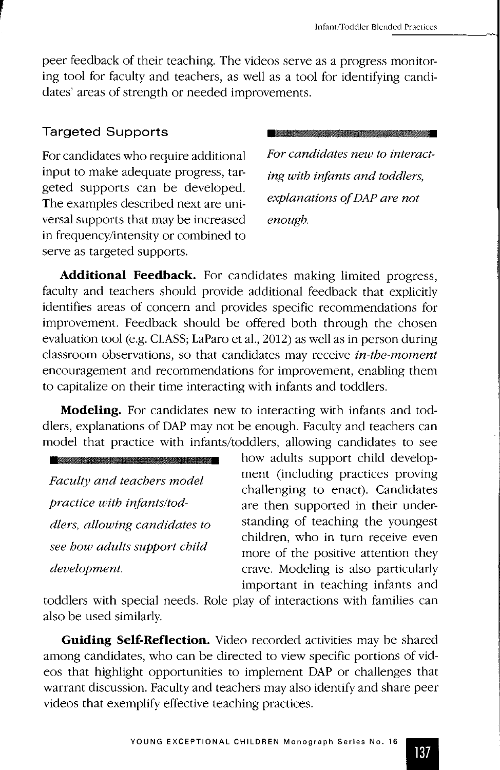peer feedback of their teaching. The videos serve as a progress monitoring tool for faculty and teachers, as well as a tool for identifying candidates' areas of strength or needed improvements.

#### **Targeted S upports ■ ■**

For candidates who require additional For *candidates new to interact*input to make adequate progress, tar- *jng with infants and toddlers,* geted supports can be developed. gives explanations of DAP are not<br>The examples described next are universal supports that may be increased *enough.* in frequency/intensity or combined to serve as targeted supports.

**Additional Feedback.** For candidates making limited progress, faculty and teachers should provide additional feedback that explicitly identifies areas of concern and provides specific recommendations for improvement. Feedback should be offered both through the chosen evaluation tool (e.g. CLASS; LaParo et al., 2012) as well as in person during classroom observations, so that candidates may receive *in-the-moment* encouragement and recommendations for improvement, enabling them to capitalize on their time interacting with infants and toddlers.

**Modeling.** For candidates new to interacting with infants and toddlers, explanations of DAP may not be enough. Faculty and teachers can model that practice with infants/toddlers, allowing candidates to see

 $Faculty$  and teachers model *practice with infants/tod*see *how adults support child development.*

how adults support child develop-<br>ment (including practices proving *dlers, allowing candidates to* standing of teaching the youngest challenging to enact). Candidates are then supported in their underchildren, who in turn receive even more of the positive attention they crave. Modeling is also particularly important in teaching infants and

toddlers with special needs. Role play of interactions with families can also be used similarly.

**Guiding Self-Reflection.** Video recorded activities may be shared among candidates, who can be directed to view specific portions of videos that highlight opportunities to implement DAP or challenges that warrant discussion. Faculty and teachers may also identify and share peer videos that exemplify effective teaching practices.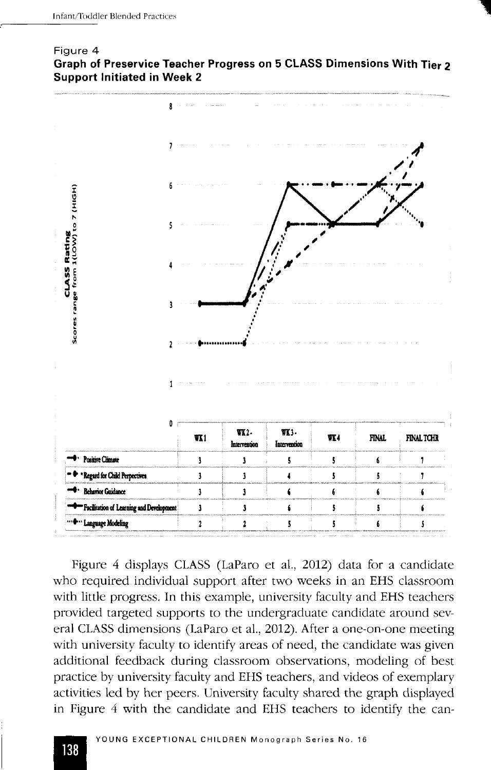$\overline{0}$ *n* **Sq**



1



 $\mathbf{f}$ 

Figure 4 displays CLASS (LaParo et al., 2012) data for a candidate who required individual support after two weeks in an EHS classroom with little progress. In this example, university faculty and EHS teachers provided targeted supports to the undergraduate candidate around several CLASS dimensions (LaParo et al., 2012). After a one-on-one meeting with university faculty to identify areas of need, the candidate was given additional feedback during classroom observations, modeling of best practice by university faculty and EHS teachers, and videos of exemplary activities led by her peers. University faculty shared the graph displayed in Figure 4 with the candidate and EHS teachers to identify the can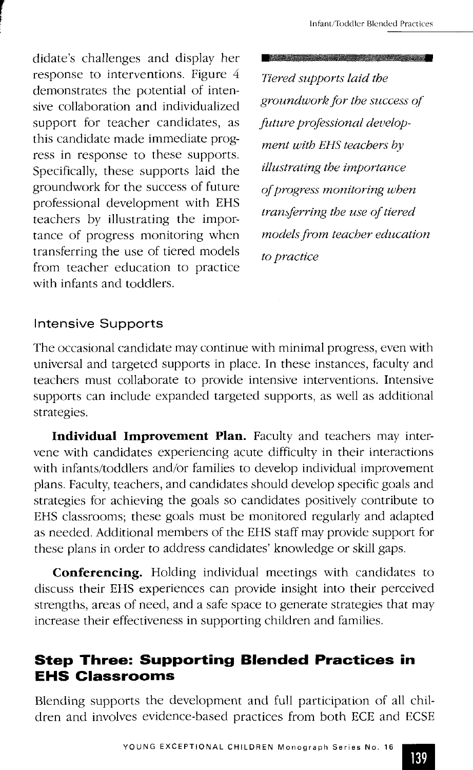didate's challenges and display her response to interventions. Figure 4 demonstrates the potential of intensive collaboration and individualized support for teacher candidates, as this candidate made immediate progress in response to these supports. Specifically, these supports laid the groundwork for the success of future professional development with EHS teachers by illustrating the importance of progress monitoring when transferring the use of tiered models from teacher education to practice with infants and toddlers.

*Tiered supports laid the groundwork for the success of future professional development with EHS teachers by illustrating the importance of progress monitoring when transferring the use of tiered models from teacher education to practice*

And the second complete the second control of the second control of the second control of the second control of

#### **Intensive Supports**

**r**f

The occasional candidate may continue with minimal progress, even with universal and targeted supports in place. In these instances, faculty and teachers must collaborate to provide intensive interventions. Intensive supports can include expanded targeted supports, as well as additional strategies.

Individual Improvement Plan. Faculty and teachers may intervene with candidates experiencing acute difficulty in their interactions with infants/toddlers and/or families to develop individual improvement plans. Faculty, teachers, and candidates should develop specific goals and strategies for achieving the goals so candidates positively contribute to EHS classrooms; these goals must be monitored regularly and adapted as needed. Additional members of the EHS staff may provide support for these plans in order to address candidates' knowledge or skill gaps.

**Conferencing.** Holding individual meetings with candidates to discuss their EHS experiences can provide insight into their perceived strengths, areas of need, and a safe space to generate strategies that may increase their effectiveness in supporting children and families.

## Step Three: Supporting Blended Practices in EHS Classrooms

Blending supports the development and full participation of all children and involves evidence-based practices from both ECE and ECSE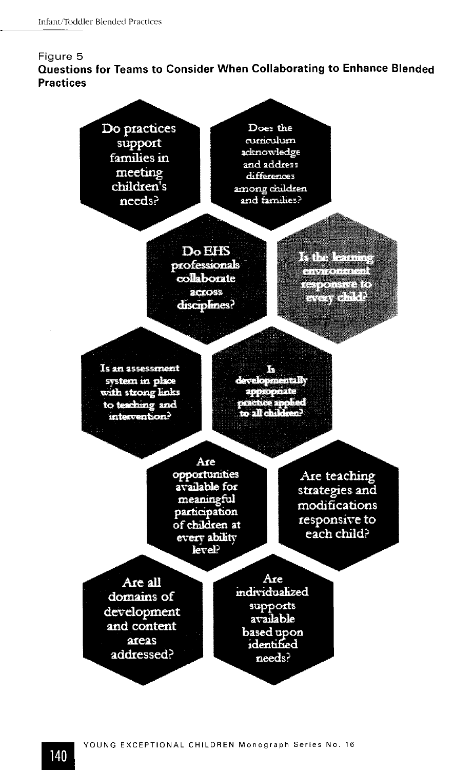#### **Figure 5**

#### **Questions for Teams to Consider When Collaborating to Enhance Blended Practices**

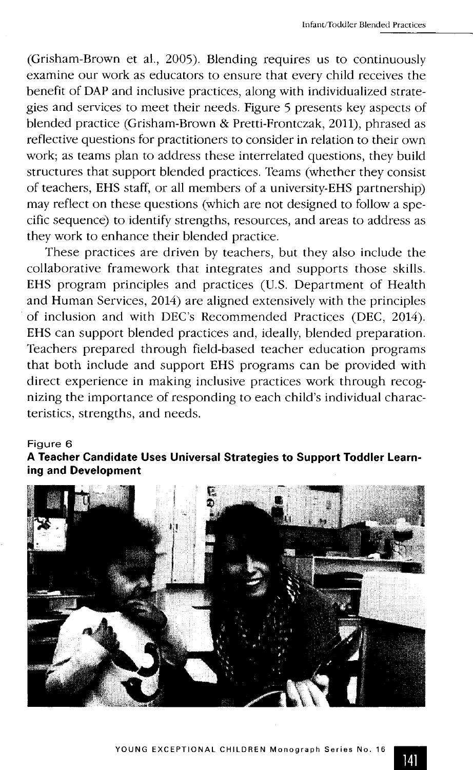(Grisham-Brown et al., 2005). Blending requires us to continuously examine our work as educators to ensure that every child receives the benefit of DAP and inclusive practices, along with individualized strategies and services to meet their needs. Figure 5 presents key aspects of blended practice (Grisham-Brown & Pretti-Frontczak, 2011), phrased as reflective questions for practitioners to consider in relation to their own work; as teams plan to address these interrelated questions, they build structures that support blended practices. Teams (whether they consist of teachers, EHS staff, or all members of a university-EHS partnership) may reflect on these questions (which are not designed to follow a specific sequence) to identify strengths, resources, and areas to address as they work to enhance their blended practice.

These practices are driven by teachers, but they also include the collaborative framework that integrates and supports those skills. EHS program principles and practices (U.S. Department of Health and Human Services, 2014) are aligned extensively with the principles of inclusion and with DEC's Recommended Practices (DEC, 2014). EHS can support blended practices and, ideally, blended preparation. Teachers prepared through field-based teacher education programs that both include and support EHS programs can be provided with direct experience in making inclusive practices work through recognizing the importance of responding to each child's individual characteristics, strengths, and needs.

#### **Figure 6**

#### **A Teacher Candidate Uses Universal Strategies to Support Toddler Learn ing and Development**

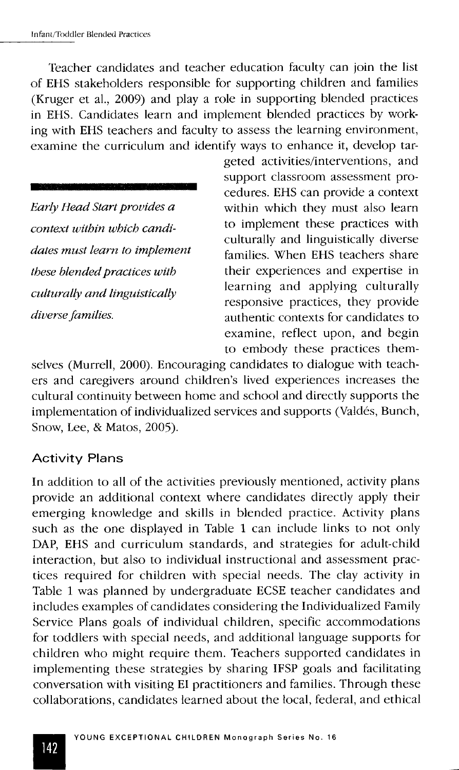Teacher candidates and teacher education faculty can join the list of EHS stakeholders responsible for supporting children and families (Kruger et al., 2009) and play a role in supporting blended practices in EHS. Candidates learn and implement blended practices by working with EHS teachers and faculty to assess the learning environment, examine the curriculum and identify ways to enhance it, develop tar-

*Early Head Start provides a context within which candidates must learn to implement these blended practices with culturally and linguistically diverse families.*

geted activities/interventions, and support classroom assessment procedures. EHS can provide a context within which they must also learn to implement these practices with culturally and linguistically diverse families. When EHS teachers share their experiences and expertise in learning and applying culturally responsive practices, they provide authentic contexts for candidates to examine, reflect upon, and begin to embody these practices them-

selves (Murrell, 2000). Encouraging candidates to dialogue with teachers and caregivers around children's lived experiences increases the cultural continuity between home and school and directly supports the implementation of individualized services and supports (Valdés, Bunch, Snow, Lee, & Matos, 2005).

#### **Activity Plans**

In addition to all of the activities previously mentioned, activity plans provide an additional context where candidates directly apply their emerging knowledge and skills in blended practice. Activity plans such as the one displayed in Table 1 can include links to not only DAP, EHS and curriculum standards, and strategies for adult-child interaction, but also to individual instructional and assessment practices required for children with special needs. The clay activity in Table 1 was planned by undergraduate ECSE teacher candidates and includes examples of candidates considering the Individualized Family Service Plans goals of individual children, specific accommodations for toddlers with special needs, and additional language supports for children who might require them. Teachers supported candidates in implementing these strategies by sharing IFSP goals and facilitating conversation with visiting El practitioners and families. Through these collaborations, candidates learned about the local, federal, and ethical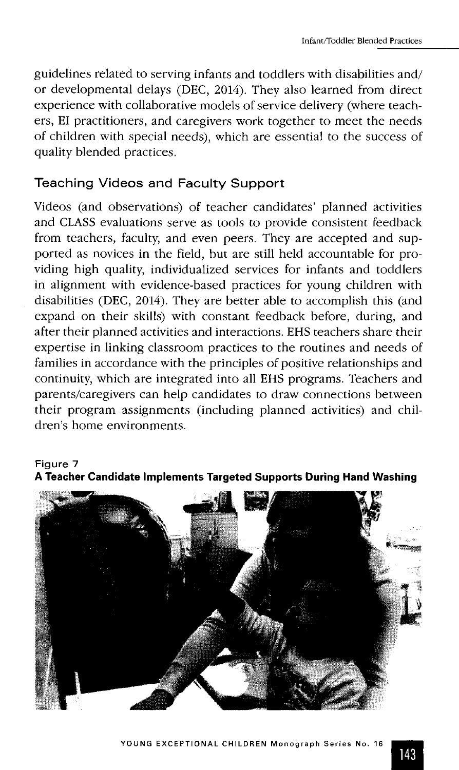guidelines related to serving infants and toddlers with disabilities and/ or developmental delays (DEC, 2014). They also learned from direct experience with collaborative models of service delivery (where teachers, El practitioners, and caregivers work together to meet the needs of children with special needs), which are essential to the success of quality blended practices.

#### **Teaching Videos and Faculty Support**

Videos (and observations) of teacher candidates' planned activities and CLASS evaluations serve as tools to provide consistent feedback from teachers, faculty, and even peers. They are accepted and supported as novices in the field, but are still held accountable for providing high quality, individualized services for infants and toddlers in alignment with evidence-based practices for young children with disabilities (DEC, 2014). They are better able to accomplish this (and expand on their skills) with constant feedback before, during, and after their planned activities and interactions. EHS teachers share their expertise in linking classroom practices to the routines and needs of families in accordance with the principles of positive relationships and continuity, which are integrated into all EHS programs. Teachers and parents/caregivers can help candidates to draw connections between their program assignments (including planned activities) and children's home environments.

#### **Figure 7 A Teacher Candidate Implements Targeted Supports During Hand Washing**

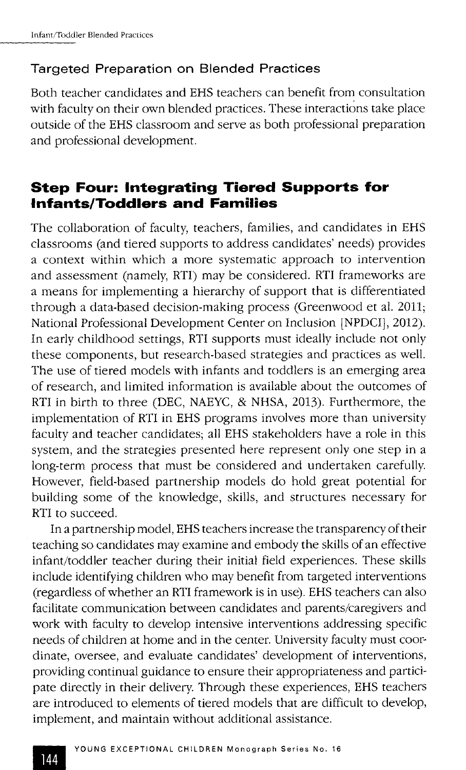#### **Targeted Preparation on Blended Practices**

Both teacher candidates and EHS teachers can benefit from consultation with faculty on their own blended practices. These interactions take place outside of the EHS classroom and serve as both professional preparation and professional development.

## Step Four: Integrating Tiered Supports for Infants/Toddlers and Families

The collaboration of faculty, teachers, families, and candidates in EHS classrooms (and tiered supports to address candidates' needs) provides a context within which a more systematic approach to intervention and assessment (namely, RTI) may be considered. RTI frameworks are a means for implementing a hierarchy of support that is differentiated through a data-based decision-making process (Greenwood et al. 2011; National Professional Development Center on Inclusion [NPDCI], 2012). In early childhood settings, RTI supports must ideally include not only these components, but research-based strategies and practices as well. The use of tiered models with infants and toddlers is an emerging area of research, and limited information is available about the outcomes of RTI in birth to three (DEC, NAEYC, *&* NHSA, 2013). Furthermore, the implementation of RTI in EHS programs involves more than university faculty and teacher candidates; all EHS stakeholders have a role in this system, and the strategies presented here represent only one step in a long-term process that must be considered and undertaken carefully. However, field-based partnership models do hold great potential for building some of the knowledge, skills, and structures necessary for RTI to succeed.

In a partnership model, EHS teachers increase the transparency of their teaching so candidates may examine and embody the skills of an effective infant/toddler teacher during their initial field experiences. These skills include identifying children who may benefit from targeted interventions (regardless of whether an RTI framework is in use). EHS teachers can also facilitate communication between candidates and parents/caregivers and work with faculty to develop intensive interventions addressing specific needs of children at home and in the center. University faculty must coordinate, oversee, and evaluate candidates' development of interventions, providing continual guidance to ensure their appropriateness and participate directly in their delivery. Through these experiences, EHS teachers are introduced to elements of tiered models that are difficult to develop, implement, and maintain without additional assistance.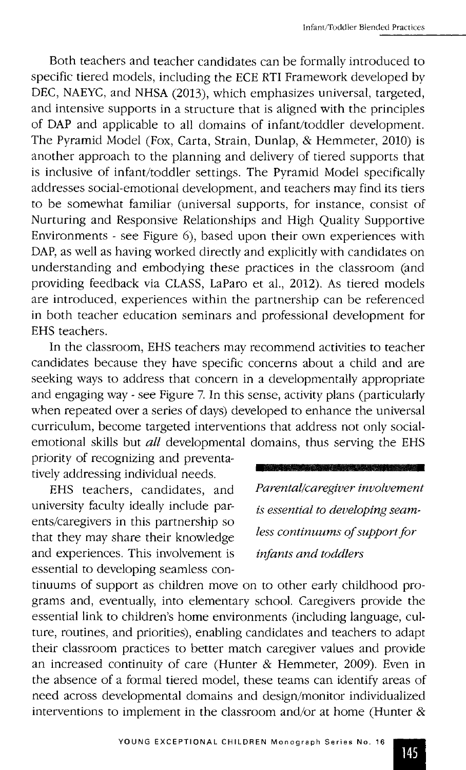Both teachers and teacher candidates can be formally introduced to specific tiered models, including the ECE RTI Framework developed by DEC, NAEYC, and NHSA (2013), which emphasizes universal, targeted, and intensive supports in a structure that is aligned with the principles of DAP and applicable to all domains of infant/toddler development. The Pyramid Model (Fox, Carta, Strain, Dunlap, & Hemmeter, 2010) is another approach to the planning and delivery of tiered supports that is inclusive of infant/toddler settings. The Pyramid Model specifically addresses social-emotional development, and teachers may find its tiers to be somewhat familiar (universal supports, for instance, consist of Nurturing and Responsive Relationships and High Quality Supportive Environments - see Figure 6), based upon their own experiences with DAP, as well as having worked directly and explicitly with candidates on understanding and embodying these practices in the classroom (and providing feedback via CLASS, LaParo et al., 2012). As tiered models are introduced, experiences within the partnership can be referenced in both teacher education seminars and professional development for EHS teachers.

In the classroom, EHS teachers may recommend activities to teacher candidates because they have specific concerns about a child and are seeking ways to address that concern in a developmentally appropriate and engaging way - see Figure 7. In this sense, activity plans (particularly when repeated over a series of days) developed to enhance the universal curriculum, become targeted interventions that address not only socialemotional skills but *all* developmental domains, thus serving the EHS priority of recognizing and preventa-

tively addressing individual needs.

university faculty ideally include par- *is essentiai to developing seam*ents/caregivers in this partnership so that they may share their knowledge *less continuums of support for* and experiences. This involvement is *infants and toddlers* essential to developing seamless con-

EHS teachers, candidates, and *Parental/caregiver involvement*

tinuums of support as children move on to other early childhood programs and, eventually, into elementary school. Caregivers provide the essential link to children's home environments (including language, culture, routines, and priorities), enabling candidates and teachers to adapt their classroom practices to better match caregiver values and provide an increased continuity of care (Hunter *&* Hemmeter, 2009). Even in the absence of a formal tiered model, these teams can identify areas of need across developmental domains and design/monitor individualized interventions to implement in the classroom and/or at home (Hunter *&*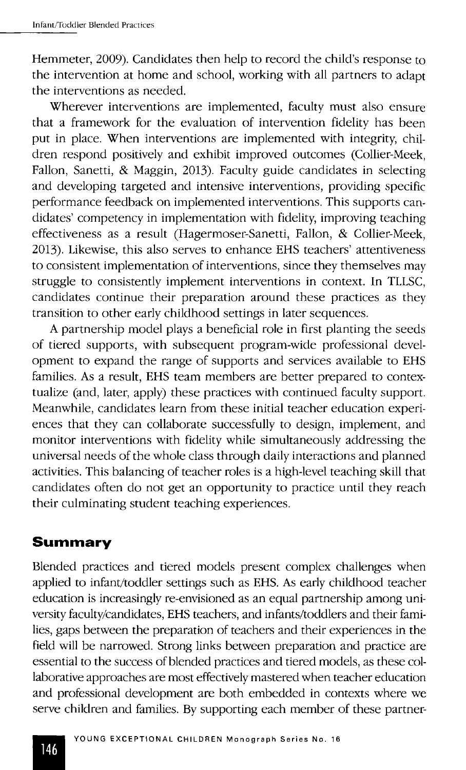Hemmeter, 2009). Candidates then help to record the child's response to the intervention at home and school, working with all partners to adapt the interventions as needed.

Wherever interventions are implemented, faculty must also ensure that a framework for the evaluation of intervention fidelity has been put in place. When interventions are implemented with integrity, children respond positively and exhibit improved outcomes (Collier-Meek, Fallon, Sanetti, & Maggin, 2013). Faculty guide candidates in selecting and developing targeted and intensive interventions, providing specific performance feedback on implemented interventions. This supports candidates' competency in implementation with fidelity, improving teaching effectiveness as a result (Hagermoser-Sanetti, Fallon, & Collier-Meek, 2013). Likewise, this also serves to enhance EHS teachers' attentiveness to consistent implementation of interventions, since they themselves may struggle to consistently implement interventions in context. In TLLSC, candidates continue their preparation around these practices as they transition to other early childhood settings in later sequences.

A partnership model plays a beneficial role in first planting the seeds of tiered supports, with subsequent program-wide professional development to expand the range of supports and services available to EHS families. As a result, EHS team members are better prepared to contextualize (and, later, apply) these practices with continued faculty support. Meanwhile, candidates learn from these initial teacher education experiences that they can collaborate successfully to design, implement, and monitor interventions with fidelity while simultaneously addressing the universal needs of the whole class through daily interactions and planned activities. This balancing of teacher roles is a high-level teaching skill that candidates often do not get an opportunity to practice until they reach their culminating student teaching experiences.

#### Summary

Blended practices and tiered models present complex challenges when applied to infant/toddler settings such as EHS. As early childhood teacher education is increasingly re-envisioned as an equal partnership among university faculty/candidates, EHS teachers, and infants/toddlers and their families, gaps between the preparation of teachers and their experiences in the field will be narrowed. Strong links between preparation and practice are essential to the success of blended practices and tiered models, as these collaborative approaches are most effectively mastered when teacher education and professional development are both embedded in contexts where we serve children and families. By supporting each member of these partner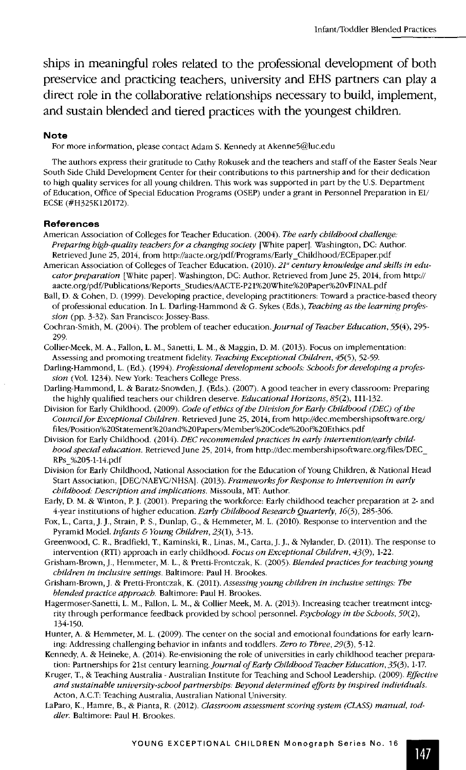ships in meaningful roles related to the professional development of both preservice and practicing teachers, university and EHS partners can play a direct role in the collaborative relationships necessary to build, implement, and sustain blended and tiered practices with the youngest children.

#### **N o te**

For more information, please contact Adam S. Kennedy at [Akenne5@luc.edu](mailto:Akenne5@luc.edu)

The authors express their gratitude to Cathy Rokusek and the teachers and staff of the Easter Seals Near South Side Child Development Center for their contributions to this partnership and for their dedication to high quality services for all young children. This work was supported in part by the U.S. Department of Education, Office of Special Education Programs (OSEP) under a grant in Personnel Preparation in El/ ECSE (#H325K120172).

#### **R e fe re n c e s**

- American Association of Colleges for Teacher Education. (2004). *The early ch ild h ood challenge:* Preparing high-quality teachers for a changing society [White paper]. Washington, DC: Author. Retrieved June 25, 2014, from [http://aacte.org/pdf/Programs/Early\\_Childhood/ECEpaper.pdf](http://aacte.org/pdf/Programs/Early_Childhood/ECEpaper.pdf)
- American Association of Colleges of Teacher Education. (2010). 21<sup>st</sup> century knowledge and skills in edu*ca to r p rep a ra tion* [White paper]. Washington, DC: Author. Retrieved from June 25, 2014, from http:// aacte.org/pdf/Publications/Reports\_Studies/AACTE-P21%20White%20Paper%20vFINAL.pdf
- Ball, D. & Cohen, D. (1999). Developing practice, developing practitioners: Toward a practice-based theory of professional education. In L. Darling-Hammond & G. Sykes (Eds.), *Teaching a s the learnin g profession* (pp. 3-32). San Francisco: Jossey-Bass.
- Cochran-Smith, M. (2004). The problem of teacher education. *Journal of Teacher Education*, 55(4), 295-299.
- Collier-Meek, M. A., Fallon, L. M., Sanetti, L. M., & Maggin, D. M. (2013). Focus on implementation: Assessing and promoting treatment fidelity. *Teaching Exceptional Children*, 45(5), 52-59.
- Darling-Hammond, L. (Ed.). (1994). *Professional development schools: Schools for developing a profession* (Vol. 1234). New York: Teachers College Press.
- Darling-Hammond, L. & Baratz-Snowden, J. (Eds.). (2007). A good teacher in every classroom: Preparing the highly qualified teachers our children deserve. *Educational Horizons*, 85(2), 111-132.
- Division for Early Childhood. (2009). *Code of ethics of the Division for Early Childhood (DEC) of the C ouncil fo r E xceptional Children.* Retrieved June 25, 2014, from <http://dec.membershipsoftware.org/> files/Position%20Statement%20and%20Papers/Member%20Code%20of%20Ethics.pdf
- Division for Early Childhood. (2014). *DEC recommended practices in early intervention/early childh o o d sp ecial education.* Retrieved June 25, 2014, from [http://dec.membershipsoftware.org/files/DEC\\_](http://dec.membershipsoftware.org/files/DEC_) RPs\_%205-l-l4.pdf
- Division for Early Childhood, National Association for the Education of Young Children, & National Head Start Association, [DEC/NAEYC/NHSA]. (2013). *Frameworks for Response to Intervention in early* childhood: Description and implications. Missoula, MT: Author.
- Early, D. M. & Winton, P. J. (2001). Preparing the workforce: Early childhood teacher preparation at 2- and 4-year institutions of higher education. *Early Childhood Research Quarterly*, 16(3), 285-306.
- Fox, L., Carta, J. J., Strain, P. S., Dunlap, G., & Hemmeter, M, L. (2010). Response to intervention and the Pyramid Model. *Infants & Young Children, 23(* 1), 3-13.
- Greenwood, C. R., Bradfield, T., Kaminski, R., Linas, M., Carta, J. J., & Nylander, D. (2011). The response to intervention (RTI) approach in early childhood. *Focus on Exceptional Children*, 43(9), 1-22.
- Grisham-Brown, J., Hemmeter, M. L., & Pretti-Frontczak, K. (2005)- *B len ded practices fo r teaching young children in inclusive settings.* Baltimore: Paul H. Brookes.
- Grisham-Brown, J. & Pretti-Frontczak, K. (2011). *Assessing young children in inclusive settings: The* blended practice approach. Baltimore: Paul H. Brookes.
- Hagermoser-Sanetti, L. M., Fallon, L. M., & Collier Meek, M. A. (2013). Increasing teacher treatment integrity through performance feedback provided by school personnel. *Psychology in the Schools, 50(2),* 134-150.
- Hunter, A. & Hemmeter, M. L. (2009). The center on the social and emotional foundations for early learning: Addressing challenging behavior in infants and toddlers. *Zero to Three, 29(3),* 5-12.
- Kennedy, A. & Heineke, A. (2014). Re-envisioning the role of universities in early childhood teacher preparation: Partnerships for 21st century learning. *Journal of Early Childhood Teacher Education*, 35(3), 1-17.
- Kruger, T., & Teaching Australia Australian Institute for Teaching and School Leadership. (2009). *Effective and sustainable university-school partnerships: Beyond determined efforts by inspired individuals.* Acton, A.C.T: Teaching Australia, Australian National University.
- LaParo, K., Hamre, B., & Pianta, R. (2012). *Classroom assessment scoring system (CLASS) manual, toddler.* Baltimore: Paul H. Brookes.